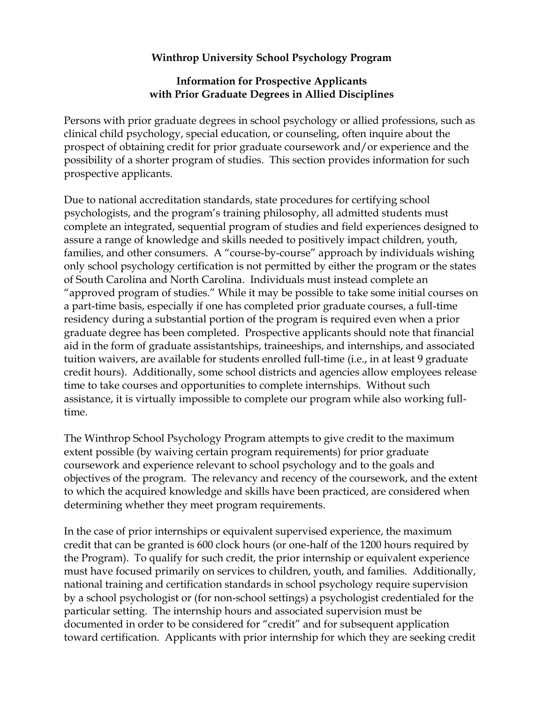## **Winthrop University School Psychology Program**

## **Information for Prospective Applicants with Prior Graduate Degrees in Allied Disciplines**

Persons with prior graduate degrees in school psychology or allied professions, such as clinical child psychology, special education, or counseling, often inquire about the prospect of obtaining credit for prior graduate coursework and/or experience and the possibility of a shorter program of studies. This section provides information for such prospective applicants.

Due to national accreditation standards, state procedures for certifying school psychologists, and the program's training philosophy, all admitted students must complete an integrated, sequential program of studies and field experiences designed to assure a range of knowledge and skills needed to positively impact children, youth, families, and other consumers. A "course-by-course" approach by individuals wishing only school psychology certification is not permitted by either the program or the states of South Carolina and North Carolina. Individuals must instead complete an "approved program of studies." While it may be possible to take some initial courses on a part-time basis, especially if one has completed prior graduate courses, a full-time residency during a substantial portion of the program is required even when a prior graduate degree has been completed. Prospective applicants should note that financial aid in the form of graduate assistantships, traineeships, and internships, and associated tuition waivers, are available for students enrolled full-time (i.e., in at least 9 graduate credit hours). Additionally, some school districts and agencies allow employees release time to take courses and opportunities to complete internships. Without such assistance, it is virtually impossible to complete our program while also working fulltime.

The Winthrop School Psychology Program attempts to give credit to the maximum extent possible (by waiving certain program requirements) for prior graduate coursework and experience relevant to school psychology and to the goals and objectives of the program. The relevancy and recency of the coursework, and the extent to which the acquired knowledge and skills have been practiced, are considered when determining whether they meet program requirements.

In the case of prior internships or equivalent supervised experience, the maximum credit that can be granted is 600 clock hours (or one-half of the 1200 hours required by the Program). To qualify for such credit, the prior internship or equivalent experience must have focused primarily on services to children, youth, and families. Additionally, national training and certification standards in school psychology require supervision by a school psychologist or (for non-school settings) a psychologist credentialed for the particular setting. The internship hours and associated supervision must be documented in order to be considered for "credit" and for subsequent application toward certification. Applicants with prior internship for which they are seeking credit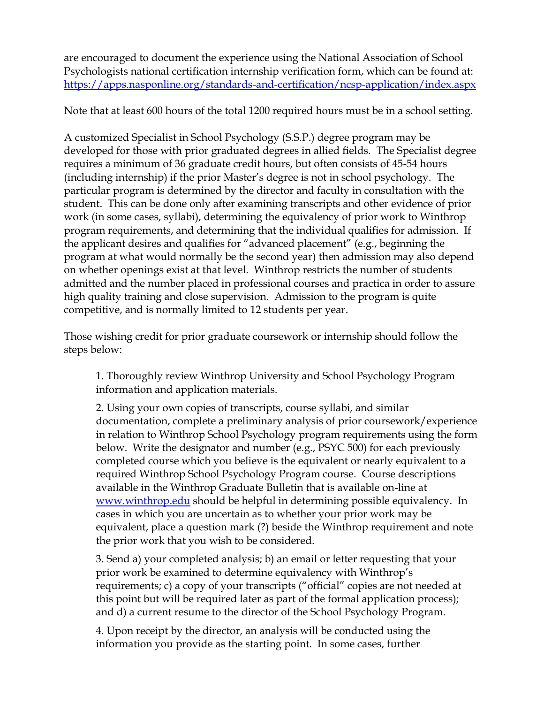are encouraged to document the experience using the National Association of School Psychologists national certification internship verification form, which can be found at: <https://apps.nasponline.org/standards-and-certification/ncsp-application/index.aspx>

Note that at least 600 hours of the total 1200 required hours must be in a school setting.

A customized Specialist in School Psychology (S.S.P.) degree program may be developed for those with prior graduated degrees in allied fields. The Specialist degree requires a minimum of 36 graduate credit hours, but often consists of 45-54 hours (including internship) if the prior Master's degree is not in school psychology. The particular program is determined by the director and faculty in consultation with the student. This can be done only after examining transcripts and other evidence of prior work (in some cases, syllabi), determining the equivalency of prior work to Winthrop program requirements, and determining that the individual qualifies for admission. If the applicant desires and qualifies for "advanced placement" (e.g., beginning the program at what would normally be the second year) then admission may also depend on whether openings exist at that level. Winthrop restricts the number of students admitted and the number placed in professional courses and practica in order to assure high quality training and close supervision. Admission to the program is quite competitive, and is normally limited to 12 students per year.

Those wishing credit for prior graduate coursework or internship should follow the steps below:

1. Thoroughly review Winthrop University and School Psychology Program information and application materials.

2. Using your own copies of transcripts, course syllabi, and similar documentation, complete a preliminary analysis of prior coursework/experience in relation to Winthrop School Psychology program requirements using the form below. Write the designator and number (e.g., PSYC 500) for each previously completed course which you believe is the equivalent or nearly equivalent to a required Winthrop School Psychology Program course. Course descriptions available in the Winthrop Graduate Bulletin that is available on-line at [www.winthrop.edu](http://www.winthrop.edu/) should be helpful in determining possible equivalency. In cases in which you are uncertain as to whether your prior work may be equivalent, place a question mark (?) beside the Winthrop requirement and note the prior work that you wish to be considered.

3. Send a) your completed analysis; b) an email or letter requesting that your prior work be examined to determine equivalency with Winthrop's requirements; c) a copy of your transcripts ("official" copies are not needed at this point but will be required later as part of the formal application process); and d) a current resume to the director of the School Psychology Program.

4. Upon receipt by the director, an analysis will be conducted using the information you provide as the starting point. In some cases, further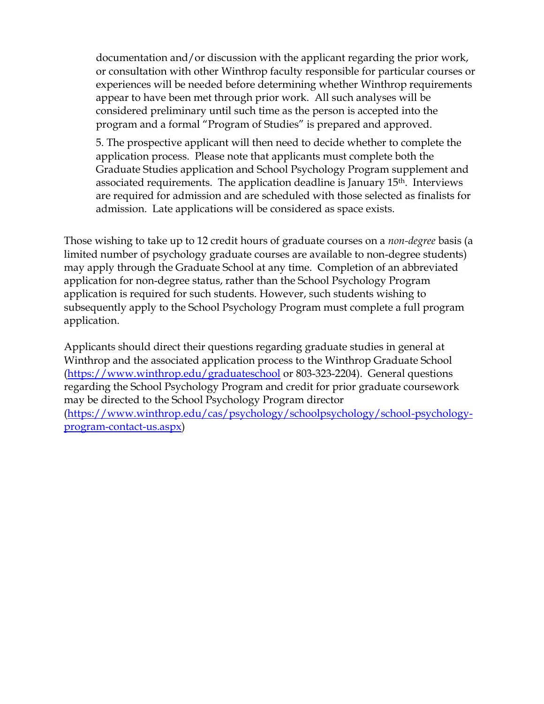documentation and/or discussion with the applicant regarding the prior work, or consultation with other Winthrop faculty responsible for particular courses or experiences will be needed before determining whether Winthrop requirements appear to have been met through prior work. All such analyses will be considered preliminary until such time as the person is accepted into the program and a formal "Program of Studies" is prepared and approved.

5. The prospective applicant will then need to decide whether to complete the application process. Please note that applicants must complete both the Graduate Studies application and School Psychology Program supplement and associated requirements. The application deadline is January 15th. Interviews are required for admission and are scheduled with those selected as finalists for admission. Late applications will be considered as space exists.

Those wishing to take up to 12 credit hours of graduate courses on a *non-degree* basis (a limited number of psychology graduate courses are available to non-degree students) may apply through the Graduate School at any time. Completion of an abbreviated application for non-degree status, rather than the School Psychology Program application is required for such students. However, such students wishing to subsequently apply to the School Psychology Program must complete a full program application.

Applicants should direct their questions regarding graduate studies in general at Winthrop and the associated application process to the Winthrop Graduate School [\(https://www.winthrop.edu/graduateschool](https://www.winthrop.edu/graduateschool) or 803-323-2204). General questions regarding the School Psychology Program and credit for prior graduate coursework may be directed to the School Psychology Program director [\(https://www.winthrop.edu/cas/psychology/schoolpsychology/school-psychology](https://www.winthrop.edu/cas/psychology/schoolpsychology/school-psychology-program-contact-us.aspx)[program-contact-us.aspx\)](https://www.winthrop.edu/cas/psychology/schoolpsychology/school-psychology-program-contact-us.aspx)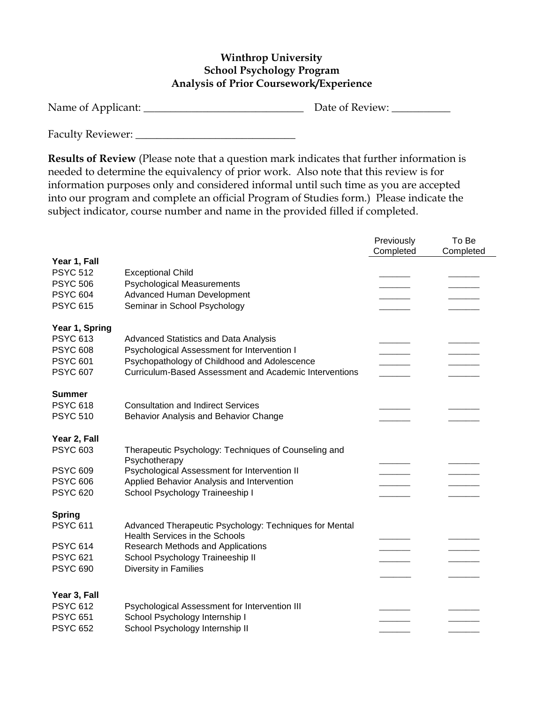## **Winthrop University School Psychology Program Analysis of Prior Coursework/Experience**

| Name of Applicant: | Date of Review: |  |
|--------------------|-----------------|--|
|--------------------|-----------------|--|

Faculty Reviewer: \_\_\_\_\_\_\_\_\_\_\_\_\_\_\_\_\_\_\_\_\_\_\_\_\_\_\_\_\_\_

**Results of Review** (Please note that a question mark indicates that further information is needed to determine the equivalency of prior work. Also note that this review is for information purposes only and considered informal until such time as you are accepted into our program and complete an official Program of Studies form.) Please indicate the subject indicator, course number and name in the provided filled if completed.

|                                                                                            |                                                                                                                                                                                                        | Previously<br>Completed | To Be<br>Completed |
|--------------------------------------------------------------------------------------------|--------------------------------------------------------------------------------------------------------------------------------------------------------------------------------------------------------|-------------------------|--------------------|
| Year 1, Fall<br><b>PSYC 512</b><br><b>PSYC 506</b><br><b>PSYC 604</b><br><b>PSYC 615</b>   | <b>Exceptional Child</b><br><b>Psychological Measurements</b><br><b>Advanced Human Development</b><br>Seminar in School Psychology                                                                     |                         |                    |
| Year 1, Spring<br><b>PSYC 613</b><br><b>PSYC 608</b><br><b>PSYC 601</b><br><b>PSYC 607</b> | <b>Advanced Statistics and Data Analysis</b><br>Psychological Assessment for Intervention I<br>Psychopathology of Childhood and Adolescence<br>Curriculum-Based Assessment and Academic Interventions  |                         |                    |
| <b>Summer</b><br><b>PSYC 618</b><br><b>PSYC 510</b>                                        | <b>Consultation and Indirect Services</b><br>Behavior Analysis and Behavior Change                                                                                                                     |                         |                    |
| Year 2, Fall<br><b>PSYC 603</b><br><b>PSYC 609</b><br><b>PSYC 606</b><br><b>PSYC 620</b>   | Therapeutic Psychology: Techniques of Counseling and<br>Psychotherapy<br>Psychological Assessment for Intervention II<br>Applied Behavior Analysis and Intervention<br>School Psychology Traineeship I |                         |                    |
| <b>Spring</b><br><b>PSYC 611</b>                                                           | Advanced Therapeutic Psychology: Techniques for Mental                                                                                                                                                 |                         |                    |
| <b>PSYC 614</b><br><b>PSYC 621</b><br><b>PSYC 690</b>                                      | <b>Health Services in the Schools</b><br>Research Methods and Applications<br>School Psychology Traineeship II<br>Diversity in Families                                                                |                         |                    |
| Year 3, Fall<br><b>PSYC 612</b><br><b>PSYC 651</b><br><b>PSYC 652</b>                      | Psychological Assessment for Intervention III<br>School Psychology Internship I<br>School Psychology Internship II                                                                                     |                         |                    |